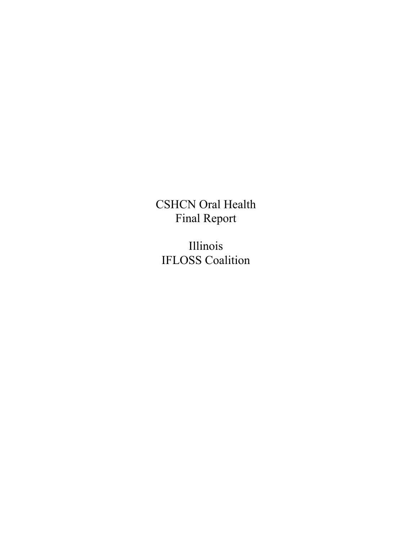CSHCN Oral Health Final Report

Illinois IFLOSS Coalition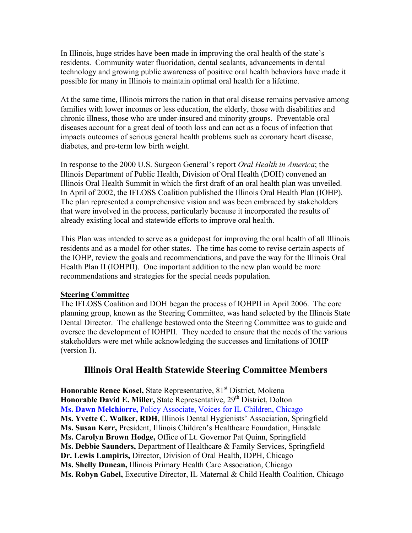In Illinois, huge strides have been made in improving the oral health of the state's residents. Community water fluoridation, dental sealants, advancements in dental technology and growing public awareness of positive oral health behaviors have made it possible for many in Illinois to maintain optimal oral health for a lifetime.

At the same time, Illinois mirrors the nation in that oral disease remains pervasive among families with lower incomes or less education, the elderly, those with disabilities and chronic illness, those who are under-insured and minority groups. Preventable oral diseases account for a great deal of tooth loss and can act as a focus of infection that impacts outcomes of serious general health problems such as coronary heart disease, diabetes, and pre-term low birth weight.

In response to the 2000 U.S. Surgeon General's report *Oral Health in America*; the Illinois Department of Public Health, Division of Oral Health (DOH) convened an Illinois Oral Health Summit in which the first draft of an oral health plan was unveiled. In April of 2002, the IFLOSS Coalition published the Illinois Oral Health Plan (IOHP). The plan represented a comprehensive vision and was been embraced by stakeholders that were involved in the process, particularly because it incorporated the results of already existing local and statewide efforts to improve oral health.

This Plan was intended to serve as a guidepost for improving the oral health of all Illinois residents and as a model for other states. The time has come to revise certain aspects of the IOHP, review the goals and recommendations, and pave the way for the Illinois Oral Health Plan II (IOHPII). One important addition to the new plan would be more recommendations and strategies for the special needs population.

#### **Steering Committee**

The IFLOSS Coalition and DOH began the process of IOHPII in April 2006. The core planning group, known as the Steering Committee, was hand selected by the Illinois State Dental Director. The challenge bestowed onto the Steering Committee was to guide and oversee the development of IOHPII. They needed to ensure that the needs of the various stakeholders were met while acknowledging the successes and limitations of IOHP (version I).

### **Illinois Oral Health Statewide Steering Committee Members**

Honorable Renee Kosel, State Representative, 81<sup>st</sup> District, Mokena Honorable David E. Miller, State Representative, 29<sup>th</sup> District, Dolton **Ms. Dawn Melchiorre,** Policy Associate, Voices for IL Children, Chicago **Ms. Yvette C. Walker, RDH,** Illinois Dental Hygienists' Association, Springfield **Ms. Susan Kerr,** President, Illinois Children's Healthcare Foundation, Hinsdale **Ms. Carolyn Brown Hodge,** Office of Lt. Governor Pat Quinn, Springfield **Ms. Debbie Saunders,** Department of Healthcare & Family Services, Springfield **Dr. Lewis Lampiris,** Director, Division of Oral Health, IDPH, Chicago **Ms. Shelly Duncan,** Illinois Primary Health Care Association, Chicago **Ms. Robyn Gabel, Executive Director, IL Maternal & Child Health Coalition, Chicago**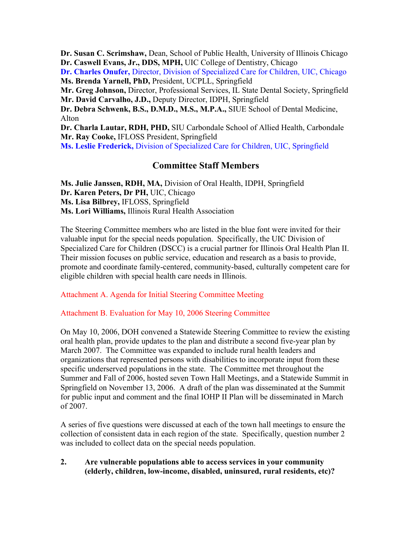**Dr. Susan C. Scrimshaw,** Dean, School of Public Health, University of Illinois Chicago **Dr. Caswell Evans, Jr., DDS, MPH,** UIC College of Dentistry, Chicago **Dr. Charles Onufer,** Director, Division of Specialized Care for Children, UIC, Chicago **Ms. Brenda Yarnell, PhD,** President, UCPLL, Springfield **Mr. Greg Johnson,** Director, Professional Services, IL State Dental Society, Springfield **Mr. David Carvalho, J.D.,** Deputy Director, IDPH, Springfield **Dr. Debra Schwenk, B.S., D.M.D., M.S., M.P.A.,** SIUE School of Dental Medicine, Alton **Dr. Charla Lautar, RDH, PHD,** SIU Carbondale School of Allied Health, Carbondale **Mr. Ray Cooke,** IFLOSS President, Springfield **Ms. Leslie Frederick,** Division of Specialized Care for Children, UIC, Springfield

### **Committee Staff Members**

**Ms. Julie Janssen, RDH, MA,** Division of Oral Health, IDPH, Springfield **Dr. Karen Peters, Dr PH,** UIC, Chicago **Ms. Lisa Bilbrey,** IFLOSS, Springfield **Ms. Lori Williams,** Illinois Rural Health Association

The Steering Committee members who are listed in the blue font were invited for their valuable input for the special needs population. Specifically, the UIC Division of Specialized Care for Children (DSCC) is a crucial partner for Illinois Oral Health Plan II. Their mission focuses on public service, education and research as a basis to provide, promote and coordinate family-centered, community-based, culturally competent care for eligible children with special health care needs in Illinois.

#### Attachment A. Agenda for Initial Steering Committee Meeting

Attachment B. Evaluation for May 10, 2006 Steering Committee

On May 10, 2006, DOH convened a Statewide Steering Committee to review the existing oral health plan, provide updates to the plan and distribute a second five-year plan by March 2007. The Committee was expanded to include rural health leaders and organizations that represented persons with disabilities to incorporate input from these specific underserved populations in the state. The Committee met throughout the Summer and Fall of 2006, hosted seven Town Hall Meetings, and a Statewide Summit in Springfield on November 13, 2006. A draft of the plan was disseminated at the Summit for public input and comment and the final IOHP II Plan will be disseminated in March of 2007.

A series of five questions were discussed at each of the town hall meetings to ensure the collection of consistent data in each region of the state. Specifically, question number 2 was included to collect data on the special needs population.

#### **2. Are vulnerable populations able to access services in your community (elderly, children, low-income, disabled, uninsured, rural residents, etc)?**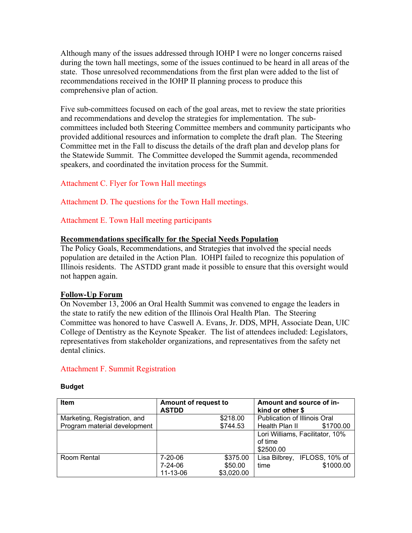Although many of the issues addressed through IOHP I were no longer concerns raised during the town hall meetings, some of the issues continued to be heard in all areas of the state. Those unresolved recommendations from the first plan were added to the list of recommendations received in the IOHP II planning process to produce this comprehensive plan of action.

Five sub-committees focused on each of the goal areas, met to review the state priorities and recommendations and develop the strategies for implementation. The subcommittees included both Steering Committee members and community participants who provided additional resources and information to complete the draft plan. The Steering Committee met in the Fall to discuss the details of the draft plan and develop plans for the Statewide Summit. The Committee developed the Summit agenda, recommended speakers, and coordinated the invitation process for the Summit.

Attachment C. Flyer for Town Hall meetings

Attachment D. The questions for the Town Hall meetings.

Attachment E. Town Hall meeting participants

#### **Recommendations specifically for the Special Needs Population**

The Policy Goals, Recommendations, and Strategies that involved the special needs population are detailed in the Action Plan. IOHPI failed to recognize this population of Illinois residents. The ASTDD grant made it possible to ensure that this oversight would not happen again.

#### **Follow-Up Forum**

On November 13, 2006 an Oral Health Summit was convened to engage the leaders in the state to ratify the new edition of the Illinois Oral Health Plan. The Steering Committee was honored to have Caswell A. Evans, Jr. DDS, MPH, Associate Dean, UIC College of Dentistry as the Keynote Speaker. The list of attendees included: Legislators, representatives from stakeholder organizations, and representatives from the safety net dental clinics.

#### Attachment F. Summit Registration

#### **Budget**

| <b>Item</b>                  | <b>Amount of request to</b><br><b>ASTDD</b> |            | Amount and source of in-<br>kind or other \$ |           |  |
|------------------------------|---------------------------------------------|------------|----------------------------------------------|-----------|--|
| Marketing, Registration, and |                                             | \$218.00   | Publication of Illinois Oral                 |           |  |
| Program material development |                                             | \$744.53   | Health Plan II                               | \$1700.00 |  |
|                              |                                             |            | Lori Williams, Facilitator, 10%              |           |  |
|                              |                                             |            | of time                                      |           |  |
|                              |                                             |            | \$2500.00                                    |           |  |
| Room Rental                  | 7-20-06                                     | \$375.00   | Lisa Bilbrey, IFLOSS, 10% of                 |           |  |
|                              | 7-24-06                                     | \$50.00    | time                                         | \$1000.00 |  |
|                              | 11-13-06                                    | \$3,020.00 |                                              |           |  |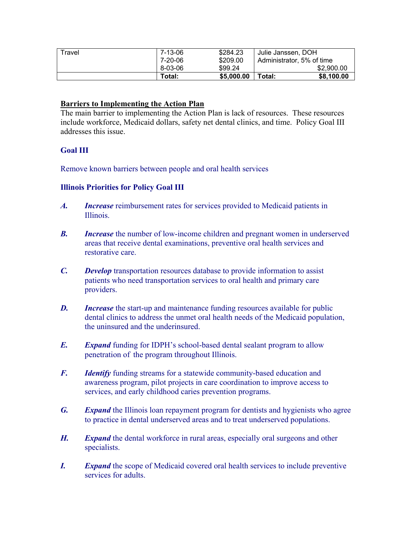| Travel | 7-13-06 | \$284.23   | Julie Janssen, DOH        |
|--------|---------|------------|---------------------------|
|        | 7-20-06 | \$209.00   | Administrator, 5% of time |
|        | 8-03-06 | \$99.24    | \$2,900.00                |
|        | Total:  | \$5,000.00 | \$8,100.00<br>Total:      |

#### **Barriers to Implementing the Action Plan**

The main barrier to implementing the Action Plan is lack of resources. These resources include workforce, Medicaid dollars, safety net dental clinics, and time. Policy Goal III addresses this issue.

#### **Goal III**

Remove known barriers between people and oral health services

#### **Illinois Priorities for Policy Goal III**

- *A. Increase* reimbursement rates for services provided to Medicaid patients in Illinois.
- *B. Increase* the number of low-income children and pregnant women in underserved areas that receive dental examinations, preventive oral health services and restorative care.
- *C. Develop* transportation resources database to provide information to assist patients who need transportation services to oral health and primary care providers.
- *D. Increase* the start-up and maintenance funding resources available for public dental clinics to address the unmet oral health needs of the Medicaid population, the uninsured and the underinsured.
- *E. Expand* funding for IDPH's school-based dental sealant program to allow penetration of the program throughout Illinois.
- *F. Identify* funding streams for a statewide community-based education and awareness program, pilot projects in care coordination to improve access to services, and early childhood caries prevention programs.
- *G. Expand* the Illinois loan repayment program for dentists and hygienists who agree to practice in dental underserved areas and to treat underserved populations.
- *H. Expand* the dental workforce in rural areas, especially oral surgeons and other specialists.
- *I. Expand* the scope of Medicaid covered oral health services to include preventive services for adults.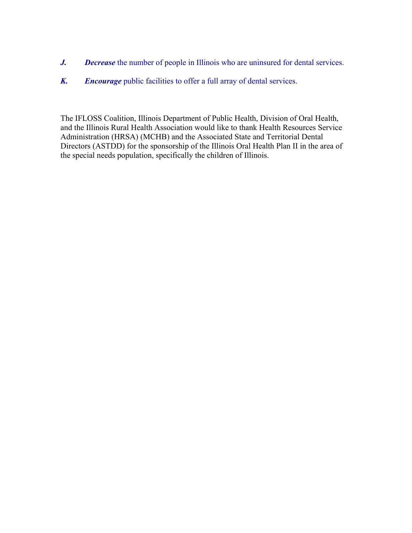- *J. Decrease* the number of people in Illinois who are uninsured for dental services.
- *K. Encourage* public facilities to offer a full array of dental services.

The IFLOSS Coalition, Illinois Department of Public Health, Division of Oral Health, and the Illinois Rural Health Association would like to thank Health Resources Service Administration (HRSA) (MCHB) and the Associated State and Territorial Dental Directors (ASTDD) for the sponsorship of the Illinois Oral Health Plan II in the area of the special needs population, specifically the children of Illinois.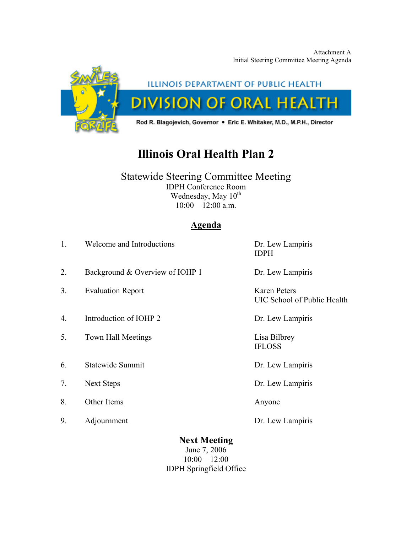Attachment A Initial Steering Committee Meeting Agenda



## ILLINOIS DEPARTMENT OF PUBLIC HEALTH **DIVISION OF ORAL HEALTH**

Rod R. Blagojevich, Governor . Eric E. Whitaker, M.D., M.P.H., Director

## **Illinois Oral Health Plan 2**

### Statewide Steering Committee Meeting IDPH Conference Room

Wednesday, May 10<sup>th</sup>  $10:00 - 12:00$  a.m.

## **Agenda**

| 1. | Welcome and Introductions                  |                                                        | Dr. Lew Lampiris<br><b>IDPH</b>                    |  |
|----|--------------------------------------------|--------------------------------------------------------|----------------------------------------------------|--|
| 2. | Background & Overview of IOHP 1            |                                                        | Dr. Lew Lampiris                                   |  |
| 3. | <b>Evaluation Report</b>                   |                                                        | <b>Karen Peters</b><br>UIC School of Public Health |  |
| 4. | Introduction of IOHP 2<br>Dr. Lew Lampiris |                                                        |                                                    |  |
| 5. | <b>Town Hall Meetings</b>                  |                                                        | Lisa Bilbrey<br><b>IFLOSS</b>                      |  |
| 6. | Statewide Summit                           |                                                        | Dr. Lew Lampiris                                   |  |
| 7. | <b>Next Steps</b>                          |                                                        | Dr. Lew Lampiris                                   |  |
| 8. | Other Items                                |                                                        | Anyone                                             |  |
| 9. | Adjournment                                |                                                        | Dr. Lew Lampiris                                   |  |
|    |                                            | <b>Next Meeting</b><br>June 7, 2006<br>$10:00 - 12:00$ |                                                    |  |

IDPH Springfield Office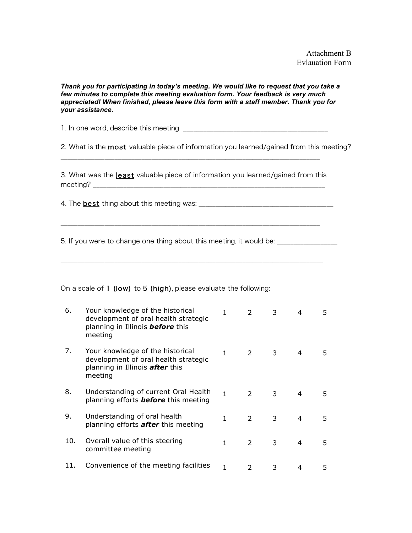Attachment B Evlauation Form

*Thank you for participating in today's meeting. We would like to request that you take a few minutes to complete this meeting evaluation form. Your feedback is very much appreciated! When finished, please leave this form with a staff member. Thank you for your assistance.*

1. In one word, describe this meeting \_\_\_\_\_\_\_\_\_\_\_\_\_\_\_\_\_\_\_\_\_\_\_\_\_\_\_\_\_\_\_\_\_\_\_\_\_\_\_\_\_\_\_

2. What is the **most** valuable piece of information you learned/gained from this meeting?

\_\_\_\_\_\_\_\_\_\_\_\_\_\_\_\_\_\_\_\_\_\_\_\_\_\_\_\_\_\_\_\_\_\_\_\_\_\_\_\_\_\_\_\_\_\_\_\_\_\_\_\_\_\_\_\_\_\_\_\_\_\_\_\_\_\_\_\_\_\_\_\_\_\_\_\_\_

3. What was the least valuable piece of information you learned/gained from this meeting? \_\_\_\_\_\_\_\_\_\_\_\_\_\_\_\_\_\_\_\_\_\_\_\_\_\_\_\_\_\_\_\_\_\_\_\_\_\_\_\_\_\_\_\_\_\_\_\_\_\_\_\_\_\_\_\_\_\_\_\_\_\_\_\_\_\_\_\_\_

4. The best thing about this meeting was: \_\_\_\_\_\_\_\_\_\_\_\_\_\_\_\_\_\_\_\_\_\_\_\_\_\_\_\_\_\_\_\_\_\_\_\_\_\_\_\_

5. If you were to change one thing about this meeting, it would be: \_\_\_\_\_\_\_\_\_\_\_\_

#### On a scale of 1 (low) to 5 (high), please evaluate the following:

| 6.  | Your knowledge of the historical<br>development of oral health strategic<br>planning in Illinois <b>before</b> this<br>meeting | 1  | $\mathcal{P}$ | 3 | 4              | 5. |
|-----|--------------------------------------------------------------------------------------------------------------------------------|----|---------------|---|----------------|----|
| 7.  | Your knowledge of the historical<br>development of oral health strategic<br>planning in Illinois <b>after</b> this<br>meeting  | 1. | $\mathcal{P}$ | 3 | 4              | 5. |
| 8.  | Understanding of current Oral Health<br>planning efforts <b>before</b> this meeting                                            | 1. | $\mathcal{P}$ | 3 | 4              | 5. |
| 9.  | Understanding of oral health<br>planning efforts <b>after</b> this meeting                                                     | 1  | $\mathcal{L}$ | 3 | 4              | 5. |
| 10. | Overall value of this steering<br>committee meeting                                                                            | 1  | $\mathcal{P}$ | 3 | $\overline{4}$ | 5. |
|     | Convenience of the meeting facilities                                                                                          |    | $\mathcal{P}$ | 3 | 4              | 5. |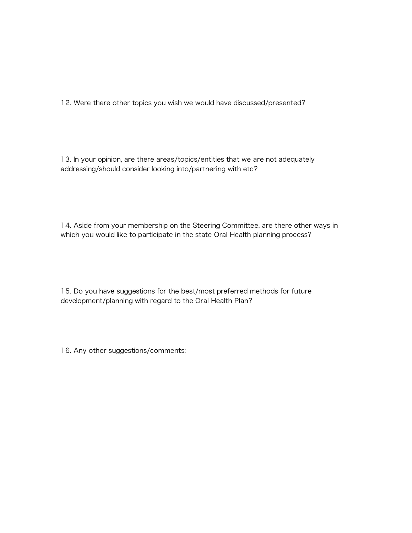12. Were there other topics you wish we would have discussed/presented?

13. In your opinion, are there areas/topics/entities that we are not adequately addressing/should consider looking into/partnering with etc?

14. Aside from your membership on the Steering Committee, are there other ways in which you would like to participate in the state Oral Health planning process?

15. Do you have suggestions for the best/most preferred methods for future development/planning with regard to the Oral Health Plan?

16. Any other suggestions/comments: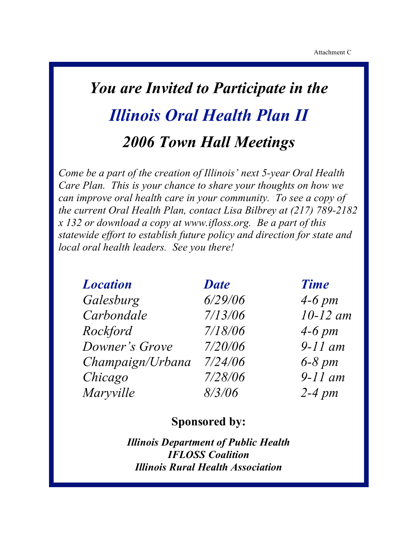## *You are Invited to Participate in the Illinois Oral Health Plan II 2006 Town Hall Meetings*

*Come be a part of the creation of Illinois' next 5-year Oral Health Care Plan. This is your chance to share your thoughts on how we can improve oral health care in your community. To see a copy of the current Oral Health Plan, contact Lisa Bilbrey at (217) 789-2182 x 132 or download a copy at www.ifloss.org. Be a part of this statewide effort to establish future policy and direction for state and local oral health leaders. See you there!*

| <b>Location</b>  | <b>Date</b> | <b>Time</b> |
|------------------|-------------|-------------|
| Galesburg        | 6/29/06     | $4-6$ pm    |
| Carbondale       | 7/13/06     | $10-12$ am  |
| Rockford         | 7/18/06     | $4-6$ pm    |
| Downer's Grove   | 7/20/06     | $9-11$ am   |
| Champaign/Urbana | 7/24/06     | $6-8$ pm    |
| Chicago          | 7/28/06     | $9-11$ am   |
| Maryville        | 8/3/06      | $2-4$ pm    |

## **Sponsored by:**

*Illinois Department of Public Health IFLOSS Coalition Illinois Rural Health Association*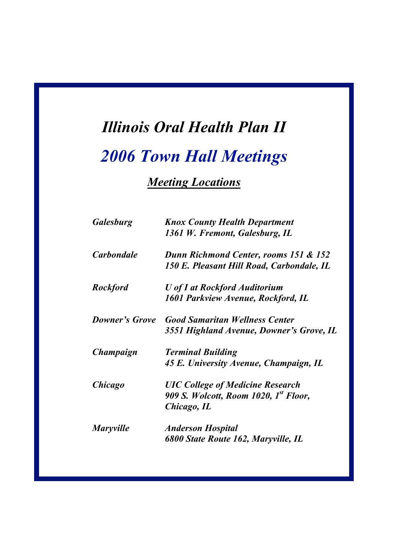# *Illinois Oral Health Plan II*

## *2006 Town Hall Meetings*

## *Meeting Locations*

| <b>Galesburg</b>      | <b>Knox County Health Department</b><br>1361 W. Fremont, Galesburg, IL                                      |
|-----------------------|-------------------------------------------------------------------------------------------------------------|
| <b>Carbondale</b>     | Dunn Richmond Center, rooms 151 & 152<br>150 E. Pleasant Hill Road, Carbondale, IL                          |
| <b>Rockford</b>       | <b>U</b> of I at Rockford Auditorium<br>1601 Parkview Avenue, Rockford, IL                                  |
| <b>Downer's Grove</b> | <b>Good Samaritan Wellness Center</b><br>3551 Highland Avenue, Downer's Grove, IL                           |
| Champaign             | <b>Terminal Building</b><br>45 E. University Avenue, Champaign, IL                                          |
| <i><b>Chicago</b></i> | <b>UIC College of Medicine Research</b><br>909 S. Wolcott, Room 1020, 1 <sup>st</sup> Floor,<br>Chicago, IL |
| <b>Maryville</b>      | <b>Anderson Hospital</b><br>6800 State Route 162, Maryville, IL                                             |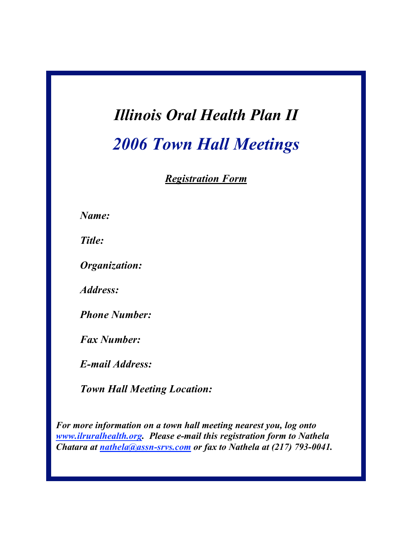## *Illinois Oral Health Plan II 2006 Town Hall Meetings*

*Registration Form*

*Name:*

*Title:*

*Organization:*

*Address:*

*Phone Number:*

*Fax Number:*

*E-mail Address:*

*Town Hall Meeting Location:*

*For more information on a town hall meeting nearest you, log onto www.ilruralhealth.org. Please e-mail this registration form to Nathela Chatara at nathela@assn-srvs.com or fax to Nathela at (217) 793-0041.*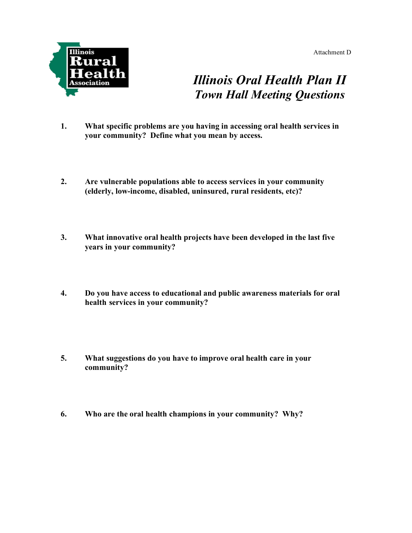Attachment D



## *Illinois Oral Health Plan II Town Hall Meeting Questions*

- **1. What specific problems are you having in accessing oral health services in your community? Define what you mean by access.**
- **2. Are vulnerable populations able to access services in your community (elderly, low-income, disabled, uninsured, rural residents, etc)?**
- **3. What innovative oral health projects have been developed in the last five years in your community?**
- **4. Do you have access to educational and public awareness materials for oral health services in your community?**
- **5. What suggestions do you have to improve oral health care in your community?**
- **6. Who are the oral health champions in your community? Why?**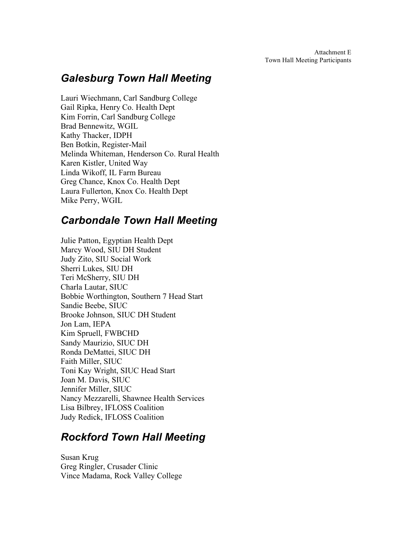Attachment E Town Hall Meeting Participants

## *Galesburg Town Hall Meeting*

Lauri Wiechmann, Carl Sandburg College Gail Ripka, Henry Co. Health Dept Kim Forrin, Carl Sandburg College Brad Bennewitz, WGIL Kathy Thacker, IDPH Ben Botkin, Register-Mail Melinda Whiteman, Henderson Co. Rural Health Karen Kistler, United Way Linda Wikoff, IL Farm Bureau Greg Chance, Knox Co. Health Dept Laura Fullerton, Knox Co. Health Dept Mike Perry, WGIL

## *Carbondale Town Hall Meeting*

Julie Patton, Egyptian Health Dept Marcy Wood, SIU DH Student Judy Zito, SIU Social Work Sherri Lukes, SIU DH Teri McSherry, SIU DH Charla Lautar, SIUC Bobbie Worthington, Southern 7 Head Start Sandie Beebe, SIUC Brooke Johnson, SIUC DH Student Jon Lam, IEPA Kim Spruell, FWBCHD Sandy Maurizio, SIUC DH Ronda DeMattei, SIUC DH Faith Miller, SIUC Toni Kay Wright, SIUC Head Start Joan M. Davis, SIUC Jennifer Miller, SIUC Nancy Mezzarelli, Shawnee Health Services Lisa Bilbrey, IFLOSS Coalition Judy Redick, IFLOSS Coalition

## *Rockford Town Hall Meeting*

Susan Krug Greg Ringler, Crusader Clinic Vince Madama, Rock Valley College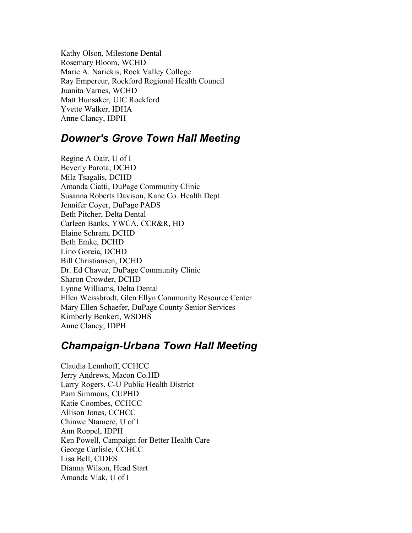Kathy Olson, Milestone Dental Rosemary Bloom, WCHD Marie A. Narickis, Rock Valley College Ray Empereur, Rockford Regional Health Council Juanita Varnes, WCHD Matt Hunsaker, UIC Rockford Yvette Walker, IDHA Anne Clancy, IDPH

## *Downer's Grove Town Hall Meeting*

Regine A Oair, U of I Beverly Parota, DCHD Mila Tsagalis, DCHD Amanda Ciatti, DuPage Community Clinic Susanna Roberts Davison, Kane Co. Health Dept Jennifer Coyer, DuPage PADS Beth Pitcher, Delta Dental Carleen Banks, YWCA, CCR&R, HD Elaine Schram, DCHD Beth Emke, DCHD Lino Goreia, DCHD Bill Christiansen, DCHD Dr. Ed Chavez, DuPage Community Clinic Sharon Crowder, DCHD Lynne Williams, Delta Dental Ellen Weissbrodt, Glen Ellyn Community Resource Center Mary Ellen Schaefer, DuPage County Senior Services Kimberly Benkert, WSDHS Anne Clancy, IDPH

## *Champaign-Urbana Town Hall Meeting*

Claudia Lennhoff, CCHCC Jerry Andrews, Macon Co.HD Larry Rogers, C-U Public Health District Pam Simmons, CUPHD Katie Coombes, CCHCC Allison Jones, CCHCC Chinwe Ntamere, U of I Ann Roppel, IDPH Ken Powell, Campaign for Better Health Care George Carlisle, CCHCC Lisa Bell, CIDES Dianna Wilson, Head Start Amanda Vlak, U of I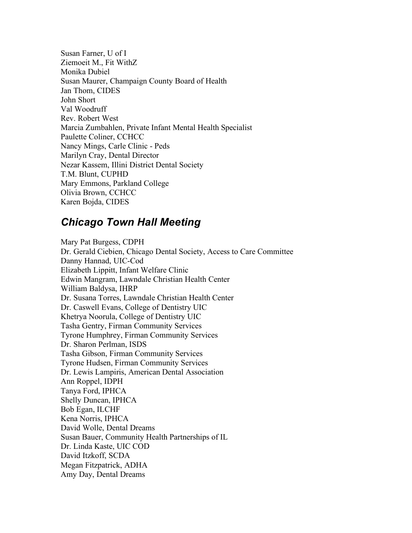Susan Farner, U of I Ziemoeit M., Fit WithZ Monika Dubiel Susan Maurer, Champaign County Board of Health Jan Thom, CIDES John Short Val Woodruff Rev. Robert West Marcia Zumbahlen, Private Infant Mental Health Specialist Paulette Coliner, CCHCC Nancy Mings, Carle Clinic - Peds Marilyn Cray, Dental Director Nezar Kassem, Illini District Dental Society T.M. Blunt, CUPHD Mary Emmons, Parkland College Olivia Brown, CCHCC Karen Bojda, CIDES

## *Chicago Town Hall Meeting*

Mary Pat Burgess, CDPH Dr. Gerald Ciebien, Chicago Dental Society, Access to Care Committee Danny Hannad, UIC-Cod Elizabeth Lippitt, Infant Welfare Clinic Edwin Mangram, Lawndale Christian Health Center William Baldysa, IHRP Dr. Susana Torres, Lawndale Christian Health Center Dr. Caswell Evans, College of Dentistry UIC Khetrya Noorula, College of Dentistry UIC Tasha Gentry, Firman Community Services Tyrone Humphrey, Firman Community Services Dr. Sharon Perlman, ISDS Tasha Gibson, Firman Community Services Tyrone Hudsen, Firman Community Services Dr. Lewis Lampiris, American Dental Association Ann Roppel, IDPH Tanya Ford, IPHCA Shelly Duncan, IPHCA Bob Egan, ILCHF Kena Norris, IPHCA David Wolle, Dental Dreams Susan Bauer, Community Health Partnerships of IL Dr. Linda Kaste, UIC COD David Itzkoff, SCDA Megan Fitzpatrick, ADHA Amy Day, Dental Dreams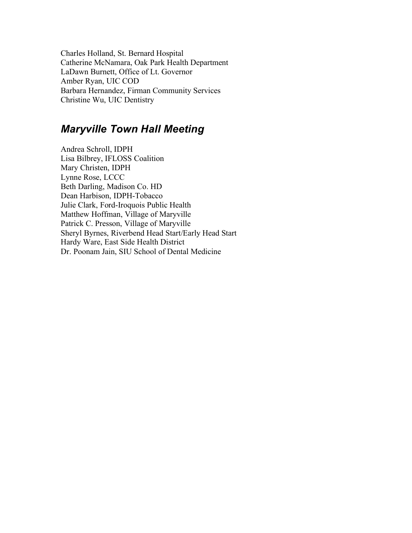Charles Holland, St. Bernard Hospital Catherine McNamara, Oak Park Health Department LaDawn Burnett, Office of Lt. Governor Amber Ryan, UIC COD Barbara Hernandez, Firman Community Services Christine Wu, UIC Dentistry

### *Maryville Town Hall Meeting*

Andrea Schroll, IDPH Lisa Bilbrey, IFLOSS Coalition Mary Christen, IDPH Lynne Rose, LCCC Beth Darling, Madison Co. HD Dean Harbison, IDPH-Tobacco Julie Clark, Ford-Iroquois Public Health Matthew Hoffman, Village of Maryville Patrick C. Presson, Village of Maryville Sheryl Byrnes, Riverbend Head Start/Early Head Start Hardy Ware, East Side Health District Dr. Poonam Jain, SIU School of Dental Medicine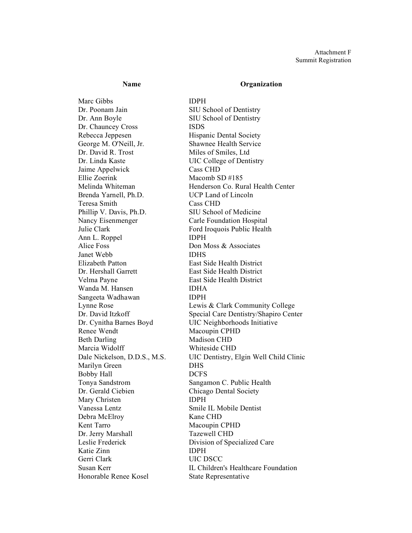#### **Name Organization**

Marc Gibbs **IDPH** Dr. Poonam Jain SIU School of Dentistry Dr. Ann Boyle SIU School of Dentistry Dr. Chauncey Cross ISDS Rebecca Jeppesen Hispanic Dental Society George M. O'Neill, Jr. Shawnee Health Service Dr. David R. Trost Miles of Smiles, Ltd Dr. Linda Kaste UIC College of Dentistry Jaime Appelwick Cass CHD Ellie Zoerink Macomb SD #185 Brenda Yarnell, Ph.D. UCP Land of Lincoln Teresa Smith Cass CHD Phillip V. Davis, Ph.D. SIU School of Medicine Nancy Eisenmenger Carle Foundation Hospital Julie Clark Ford Iroquois Public Health Ann L. Roppel **IDPH** Alice Foss Don Moss & Associates Janet Webb IDHS Elizabeth Patton East Side Health District Dr. Hershall Garrett East Side Health District Velma Payne East Side Health District Wanda M. Hansen IDHA Sangeeta Wadhawan IDPH Renee Wendt Macoupin CPHD Beth Darling Madison CHD Marcia Widolff Whiteside CHD Marilyn Green DHS Bobby Hall DCFS Tonya Sandstrom Sangamon C. Public Health Dr. Gerald Ciebien Chicago Dental Society Mary Christen **IDPH** Vanessa Lentz Smile IL Mobile Dentist Debra McElroy Kane CHD Kent Tarro Macoupin CPHD Dr. Jerry Marshall Tazewell CHD Leslie Frederick Division of Specialized Care Katie Zinn IDPH Gerri Clark UIC DSCC Honorable Renee Kosel State Representative

Melinda Whiteman **Henderson Co. Rural Health Center** Lynne Rose Lewis & Clark Community College Dr. David Itzkoff Special Care Dentistry/Shapiro Center Dr. Cynitha Barnes Boyd UIC Neighborhoods Initiative Dale Nickelson, D.D.S., M.S. UIC Dentistry, Elgin Well Child Clinic Susan Kerr IL Children's Healthcare Foundation